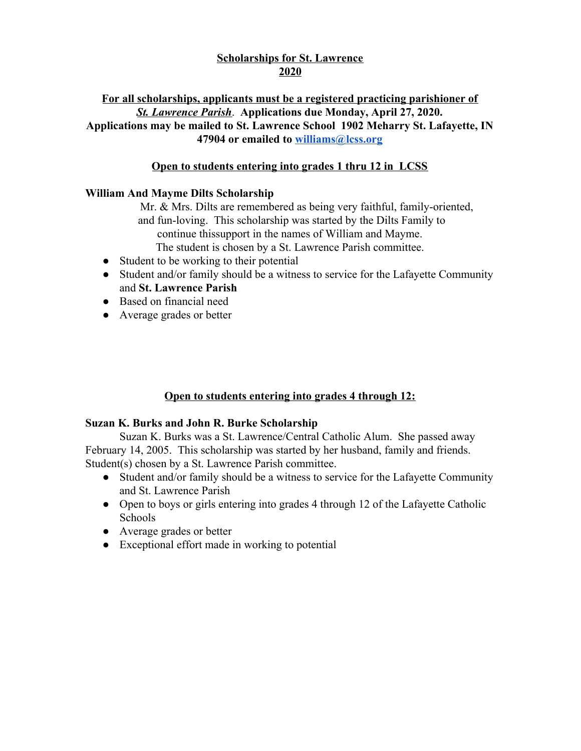## **Scholarships for St. Lawrence 2020**

## **For all scholarships, applicants must be a registered practicing parishioner of** *St. Lawrence Parish*. **Applications due Monday, April 27, 2020. Applications may be mailed to St. Lawrence School 1902 Meharry St. Lafayette, IN 47904 or emailed to [williams@lcss.org](mailto:williams@lcss.org)**

# **Open to students entering into grades 1 thru 12 in LCSS**

### **William And Mayme Dilts Scholarship**

Mr. & Mrs. Dilts are remembered as being very faithful, family-oriented, and fun-loving. This scholarship was started by the Dilts Family to continue thissupport in the names of William and Mayme.

- The student is chosen by a St. Lawrence Parish committee.
- Student to be working to their potential
- Student and/or family should be a witness to service for the Lafayette Community and **St. Lawrence Parish**
- Based on financial need
- Average grades or better

## **Open to students entering into grades 4 through 12:**

#### **Suzan K. Burks and John R. Burke Scholarship**

Suzan K. Burks was a St. Lawrence/Central Catholic Alum. She passed away February 14, 2005. This scholarship was started by her husband, family and friends. Student(s) chosen by a St. Lawrence Parish committee.

- Student and/or family should be a witness to service for the Lafayette Community and St. Lawrence Parish
- Open to boys or girls entering into grades 4 through 12 of the Lafayette Catholic Schools
- Average grades or better
- Exceptional effort made in working to potential